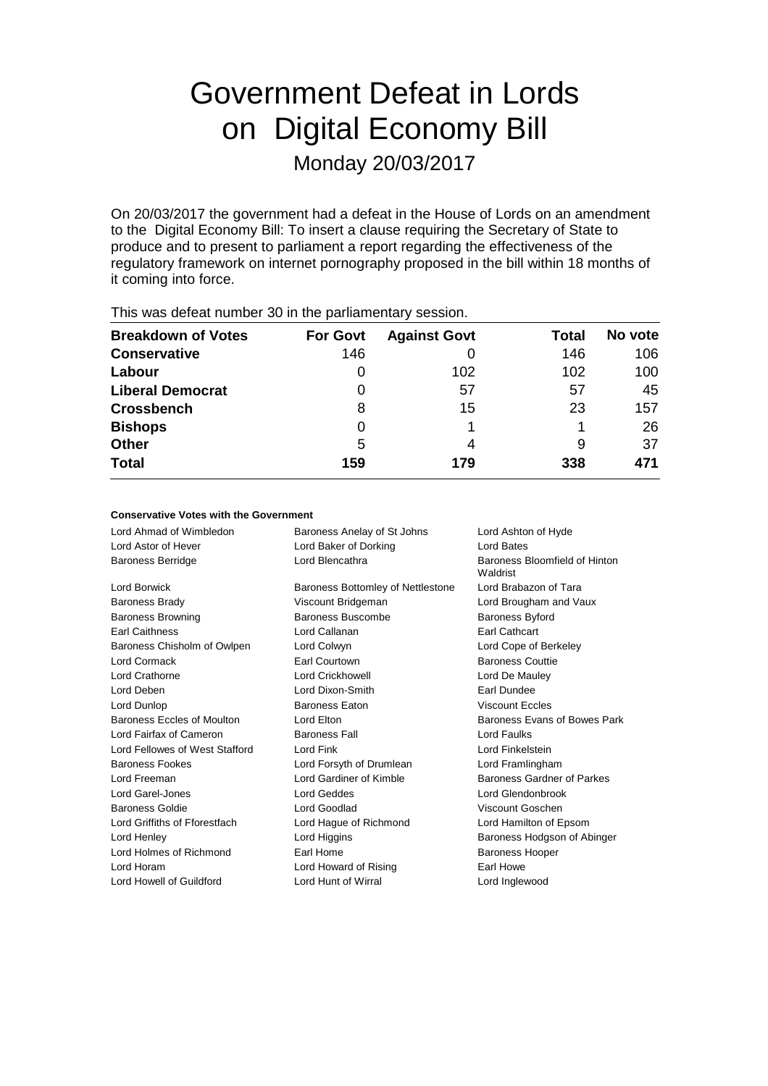# Government Defeat in Lords on Digital Economy Bill

Monday 20/03/2017

On 20/03/2017 the government had a defeat in the House of Lords on an amendment to the Digital Economy Bill: To insert a clause requiring the Secretary of State to produce and to present to parliament a report regarding the effectiveness of the regulatory framework on internet pornography proposed in the bill within 18 months of it coming into force.

| This was assembly be in the parliamentally seconditi |                 |                     |       |         |
|------------------------------------------------------|-----------------|---------------------|-------|---------|
| <b>Breakdown of Votes</b>                            | <b>For Govt</b> | <b>Against Govt</b> | Total | No vote |
| <b>Conservative</b>                                  | 146             |                     | 146   | 106     |
| Labour                                               | 0               | 102                 | 102   | 100     |
| <b>Liberal Democrat</b>                              | 0               | 57                  | 57    | 45      |
| <b>Crossbench</b>                                    | 8               | 15                  | 23    | 157     |
| <b>Bishops</b>                                       | 0               |                     |       | 26      |
| <b>Other</b>                                         | 5               | 4                   | 9     | 37      |
| <b>Total</b>                                         | 159             | 179                 | 338   | 471     |
|                                                      |                 |                     |       |         |

This was defeat number 30 in the parliamentary session.

# **Conservative Votes with the Government**

| Lord Ahmad of Wimbledon        | Baroness Anelay of St Johns       | Lord Ashton of Hyde                       |
|--------------------------------|-----------------------------------|-------------------------------------------|
| Lord Astor of Hever            | Lord Baker of Dorking             | Lord Bates                                |
| <b>Baroness Berridge</b>       | Lord Blencathra                   | Baroness Bloomfield of Hinton<br>Waldrist |
| Lord Borwick                   | Baroness Bottomley of Nettlestone | Lord Brabazon of Tara                     |
| <b>Baroness Brady</b>          | Viscount Bridgeman                | Lord Brougham and Vaux                    |
| <b>Baroness Browning</b>       | Baroness Buscombe                 | <b>Baroness Byford</b>                    |
| <b>Earl Caithness</b>          | Lord Callanan                     | <b>Earl Cathcart</b>                      |
| Baroness Chisholm of Owlpen    | Lord Colwyn                       | Lord Cope of Berkeley                     |
| Lord Cormack                   | Earl Courtown                     | <b>Baroness Couttie</b>                   |
| Lord Crathorne                 | <b>Lord Crickhowell</b>           | Lord De Mauley                            |
| Lord Deben                     | Lord Dixon-Smith                  | <b>Farl Dundee</b>                        |
| Lord Dunlop                    | <b>Baroness Eaton</b>             | <b>Viscount Eccles</b>                    |
| Baroness Eccles of Moulton     | Lord Elton                        | Baroness Evans of Bowes Park              |
| Lord Fairfax of Cameron        | <b>Baroness Fall</b>              | Lord Faulks                               |
| Lord Fellowes of West Stafford | Lord Fink                         | Lord Finkelstein                          |
| <b>Baroness Fookes</b>         | Lord Forsyth of Drumlean          | Lord Framlingham                          |
| Lord Freeman                   | Lord Gardiner of Kimble           | Baroness Gardner of Parkes                |
| Lord Garel-Jones               | <b>Lord Geddes</b>                | Lord Glendonbrook                         |
| Baroness Goldie                | Lord Goodlad                      | Viscount Goschen                          |
| Lord Griffiths of Fforestfach  | Lord Hague of Richmond            | Lord Hamilton of Epsom                    |
| Lord Henley                    | Lord Higgins                      | Baroness Hodgson of Abinger               |
| Lord Holmes of Richmond        | Earl Home                         | <b>Baroness Hooper</b>                    |
| Lord Horam                     | Lord Howard of Rising             | Earl Howe                                 |
| Lord Howell of Guildford       | Lord Hunt of Wirral               | Lord Inglewood                            |
|                                |                                   |                                           |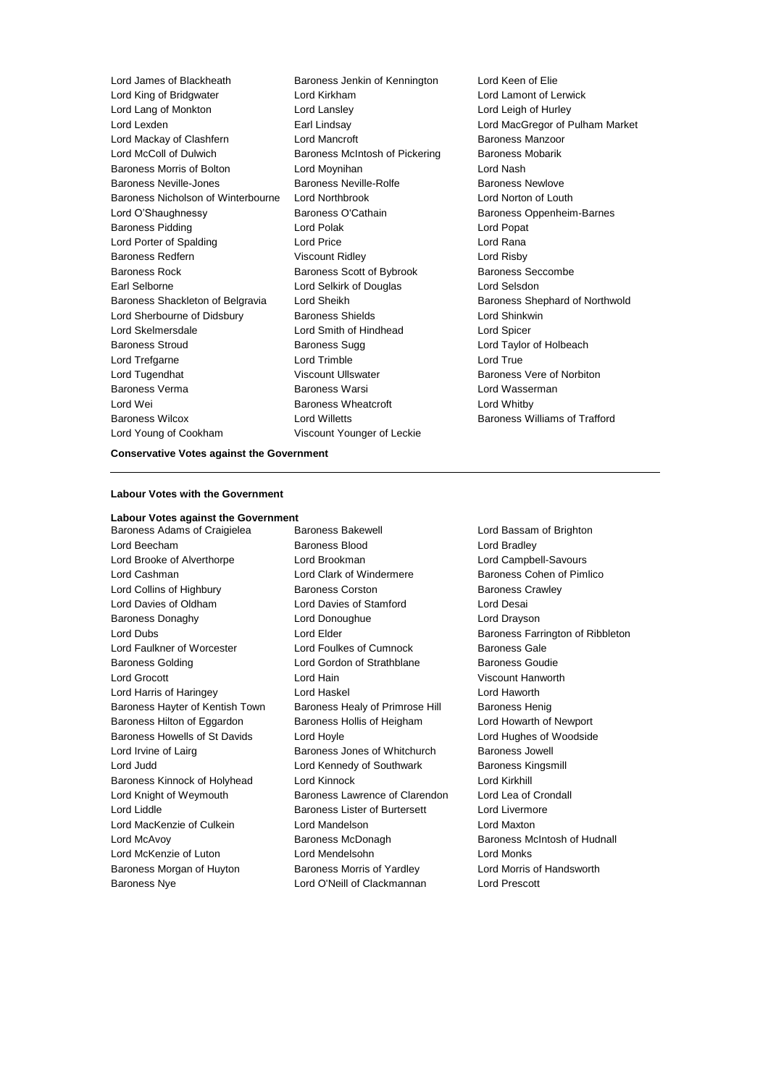| Lord James of Blackheath           | Baroness Jenkin of Kennington  | Lord Keen         |
|------------------------------------|--------------------------------|-------------------|
| Lord King of Bridgwater            | Lord Kirkham                   | Lord Lamo         |
| Lord Lang of Monkton               | Lord Lansley                   | Lord Leigh        |
| Lord Lexden                        | Earl Lindsay                   | Lord MacG         |
| Lord Mackay of Clashfern           | Lord Mancroft                  | Baroness M        |
| Lord McColl of Dulwich             | Baroness McIntosh of Pickering | Baroness N        |
| <b>Baroness Morris of Bolton</b>   | Lord Moynihan                  | Lord Nash         |
| <b>Baroness Neville-Jones</b>      | Baroness Neville-Rolfe         | Baroness N        |
| Baroness Nicholson of Winterbourne | Lord Northbrook                | Lord Norto        |
| Lord O'Shaughnessy                 | Baroness O'Cathain             | Baroness 0        |
| Baroness Pidding                   | Lord Polak                     | Lord Popat        |
| Lord Porter of Spalding            | <b>Lord Price</b>              | Lord Rana         |
| Baroness Redfern                   | <b>Viscount Ridley</b>         | Lord Risby        |
| Baroness Rock                      | Baroness Scott of Bybrook      | <b>Baroness 9</b> |
| Earl Selborne                      | Lord Selkirk of Douglas        | Lord Selsd        |
| Baroness Shackleton of Belgravia   | Lord Sheikh                    | <b>Baroness 9</b> |
| Lord Sherbourne of Didsbury        | <b>Baroness Shields</b>        | Lord Shink        |
| Lord Skelmersdale                  | Lord Smith of Hindhead         | Lord Spice        |
| <b>Baroness Stroud</b>             | Baroness Sugg                  | Lord Taylo        |
| Lord Trefgarne                     | Lord Trimble                   | Lord True         |
| Lord Tugendhat                     | Viscount Ullswater             | Baroness \        |
| Baroness Verma                     | Baroness Warsi                 | Lord Wass         |
| Lord Wei                           | <b>Baroness Wheatcroft</b>     | Lord Whitb        |
| <b>Baroness Wilcox</b>             | <b>Lord Willetts</b>           | Baroness \        |
| Lord Young of Cookham              | Viscount Younger of Leckie     |                   |
|                                    |                                |                   |

laton Lord Keen of Elien Lord Lamont of Lerwick Lord Leigh of Hurley Lord MacGregor of Pulham Market Baroness Manzoor Lord Mullet Baroness Mobarik Baroness Newlove Lord Norton of Louth Baroness Oppenheim-Barnes Lord Popat Lord Risby Baroness Seccombe Lord Selsdon Baroness Shephard of Northwold Lord Shinkwin Lord Spicer Lord Taylor of Holbeach Baroness Vere of Norbiton Lord Wasserman Lord Whitby Baroness Williams of Trafford

## **Conservative Votes against the Government**

#### **Labour Votes with the Government**

**Labour Votes against the Government** Baroness Adams of Craigielea Baroness Bakewell **Baroness Lord Bassam of Brighton** Lord Beecham Baroness Blood Lord Bradley Lord Brooke of Alverthorpe Lord Brookman Lord Campbell-Savours Lord Cashman Lord Clark of Windermere Baroness Cohen of Pimlico Lord Collins of Highbury Baroness Corston Baroness Crawley Lord Davies of Oldham Lord Davies of Stamford Lord Desai Baroness Donaghy Lord Donoughue Lord Drayson Lord Dubs **Lord Elder Baroness Farrington of Ribbleton** Lord Faulkner of Worcester Lord Foulkes of Cumnock Baroness Gale Baroness Golding Lord Gordon of Strathblane Baroness Goudie Lord Grocott Lord Hain Viscount Hanworth Lord Harris of Haringey **Lord Haskel Lord Hanges** Lord Haworth Baroness Hayter of Kentish Town Baroness Healy of Primrose Hill Baroness Henig Baroness Hilton of Eggardon Baroness Hollis of Heigham Lord Howarth of Newport Baroness Howells of St Davids Lord Hoyle Lord Hughes of Woodside Lord Irvine of Lairg **Baroness Jones of Whitchurch** Baroness Jowell Lord Judd Lord Kennedy of Southwark Baroness Kingsmill Baroness Kinnock of Holyhead Lord Kinnock Lord Kirkhill Lord Knight of Weymouth Baroness Lawrence of Clarendon Lord Lea of Crondall Lord Liddle **Baroness Lister of Burtersett** Lord Livermore Lord MacKenzie of Culkein **Lord Mandelson** Lord Maxton Lord McAvoy Baroness McDonagh Baroness McIntosh of Hudnall Lord McKenzie of Luton Lord Mendelsohn Lord Monks Baroness Morgan of Huyton **Baroness Morris of Yardley** Lord Morris of Handsworth Baroness Nye Lord O'Neill of Clackmannan Lord Prescott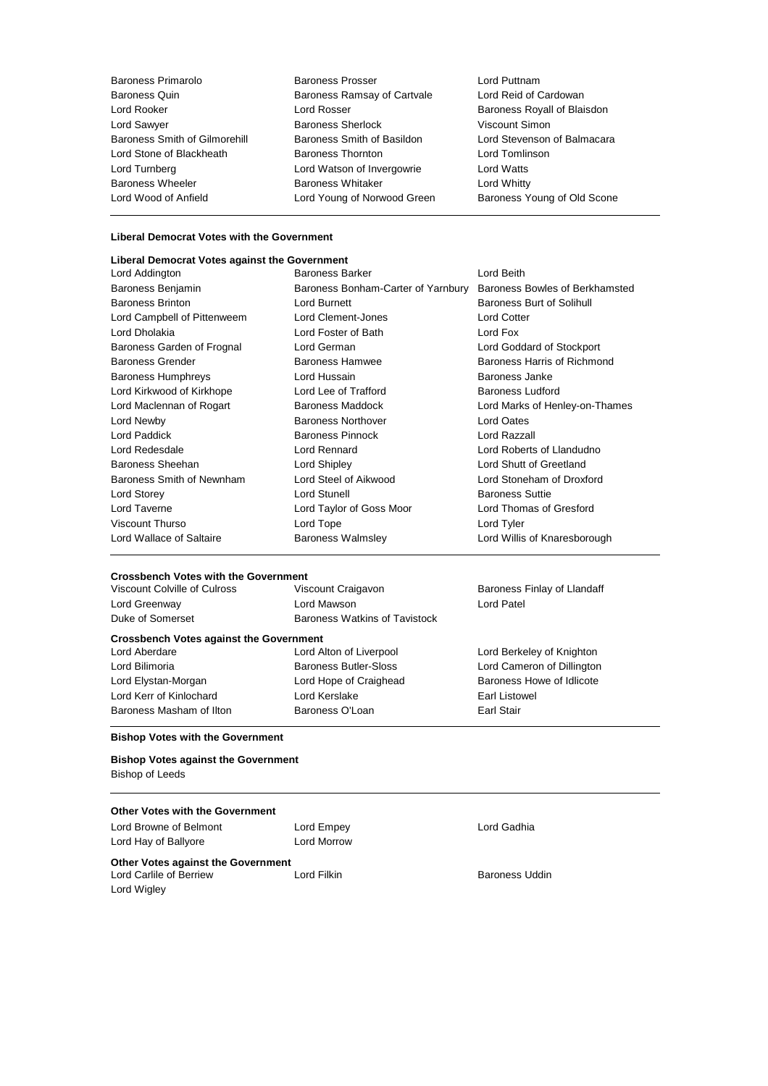| Baroness Primarolo                   | Baro  |
|--------------------------------------|-------|
| <b>Baroness Quin</b>                 | Baro  |
| Lord Rooker                          | Lorc  |
| Lord Sawyer                          | Baro  |
| <b>Baroness Smith of Gilmorehill</b> | Baro  |
| Lord Stone of Blackheath             | Baro  |
| Lord Turnberg                        | Lorc  |
| <b>Baroness Wheeler</b>              | Baro  |
| Lord Wood of Anfield                 | l orc |

Baroness Primarolo Baroness Prosser Lord Puttnam oness Ramsay of Cartvale **DEREAS Sherlock** Viscount Simon oness Thornton **Example 3** Lord Tomlinson d Watson of Invergowrie Lord Watts oness Whitaker **Baroness Whitty** 

Lord Rooker Lord Rosser Baroness Royall of Blaisdon oness Smith of Basildon **Lord Stevenson of Balmacara** d Young of Norwood Green Baroness Young of Old Scone

#### **Liberal Democrat Votes with the Government**

# **Liberal Democrat Votes against the Government**

Lord Addington **Baroness Barker Constructs** Lord Beith Baroness Benjamin Baroness Bonham-Carter of Yarnbury Baroness Bowles of Berkhamsted Baroness Brinton **Baroness Burt of Solihull** Lord Burnett **Baroness Burt of Solihull** Lord Campbell of Pittenweem Lord Clement-Jones Lord Cotter Lord Dholakia Lord Foster of Bath Lord Fox Baroness Garden of Frognal Lord German Lord Goddard of Stockport Baroness Grender Baroness Hamwee Baroness Harris of Richmond Baroness Humphreys Lord Hussain Baroness Janke Lord Kirkwood of Kirkhope Lord Lee of Trafford Baroness Ludford Baroness Ludford Lord Maclennan of Rogart **Baroness Maddock Lord Marks of Henley-on-Thames** Lord Newby Baroness Northover Lord Oates Lord Paddick Baroness Pinnock Lord Razzall Lord Redesdale Lord Rennard Lord Roberts of Llandudno Baroness Sheehan Lord Shipley Lord Shutt of Greetland Baroness Smith of Newnham Lord Steel of Aikwood Lord Stoneham of Droxford Lord Storey **Lord Stunell** Lord Stunell **Baroness Suttie** Lord Taverne Lord Taylor of Goss Moor Lord Thomas of Gresford Viscount Thurso Lord Tope Lord Tyler Lord Wallace of Saltaire **Baroness Walmsley Lord Willis of Knaresborough** Lord Willis of Knaresborough

#### **Crossbench Votes with the Government**

| Viscount Colville of Culross                   | Viscount Craigavon                   | Baroness Finlay of Llandaff |
|------------------------------------------------|--------------------------------------|-----------------------------|
| Lord Greenway                                  | Lord Mawson                          | Lord Patel                  |
| Duke of Somerset                               | <b>Baroness Watkins of Tavistock</b> |                             |
| <b>Crossbench Votes against the Government</b> |                                      |                             |
| Lord Aberdare                                  | Lord Alton of Liverpool              | Lord Berkeley of Knighton   |
| Lord Bilimoria                                 | <b>Baroness Butler-Sloss</b>         | Lord Cameron of Dillington  |
| Lord Elystan-Morgan                            | Lord Hope of Craighead               | Baroness Howe of Idlicote   |
| Lord Kerr of Kinlochard                        | Lord Kerslake                        | Earl Listowel               |
| Baroness Masham of Ilton                       | Baroness O'Loan                      | Earl Stair                  |

#### **Bishop Votes with the Government**

**Bishop Votes against the Government** Bishop of Leeds

## **Other Votes with the Government**

| Lord Browne of Belmont<br>Lord Hay of Ballyore                               | Lord Empey<br>Lord Morrow | Lord Gadhia           |
|------------------------------------------------------------------------------|---------------------------|-----------------------|
| Other Votes against the Government<br>Lord Carlile of Berriew<br>Lord Wigley | Lord Filkin               | <b>Baroness Uddin</b> |